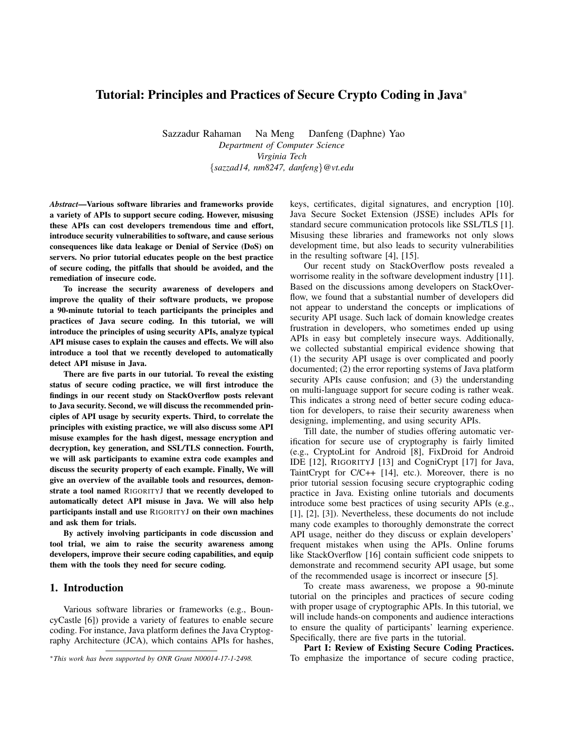## Tutorial: Principles and Practices of Secure Crypto Coding in Java<sup>∗</sup>

Sazzadur Rahaman Na Meng Danfeng (Daphne) Yao *Department of Computer Science Virginia Tech* {*sazzad14, nm8247, danfeng*}*@vt.edu*

*Abstract*—Various software libraries and frameworks provide a variety of APIs to support secure coding. However, misusing these APIs can cost developers tremendous time and effort, introduce security vulnerabilities to software, and cause serious consequences like data leakage or Denial of Service (DoS) on servers. No prior tutorial educates people on the best practice of secure coding, the pitfalls that should be avoided, and the remediation of insecure code.

To increase the security awareness of developers and improve the quality of their software products, we propose a 90-minute tutorial to teach participants the principles and practices of Java secure coding. In this tutorial, we will introduce the principles of using security APIs, analyze typical API misuse cases to explain the causes and effects. We will also introduce a tool that we recently developed to automatically detect API misuse in Java.

There are five parts in our tutorial. To reveal the existing status of secure coding practice, we will first introduce the findings in our recent study on StackOverflow posts relevant to Java security. Second, we will discuss the recommended principles of API usage by security experts. Third, to correlate the principles with existing practice, we will also discuss some API misuse examples for the hash digest, message encryption and decryption, key generation, and SSL/TLS connection. Fourth, we will ask participants to examine extra code examples and discuss the security property of each example. Finally, We will give an overview of the available tools and resources, demonstrate a tool named RIGORITYJ that we recently developed to automatically detect API misuse in Java. We will also help participants install and use RIGORITYJ on their own machines and ask them for trials.

By actively involving participants in code discussion and tool trial, we aim to raise the security awareness among developers, improve their secure coding capabilities, and equip them with the tools they need for secure coding.

## 1. Introduction

Various software libraries or frameworks (e.g., BouncyCastle [6]) provide a variety of features to enable secure coding. For instance, Java platform defines the Java Cryptography Architecture (JCA), which contains APIs for hashes, keys, certificates, digital signatures, and encryption [10]. Java Secure Socket Extension (JSSE) includes APIs for standard secure communication protocols like SSL/TLS [1]. Misusing these libraries and frameworks not only slows development time, but also leads to security vulnerabilities in the resulting software [4], [15].

Our recent study on StackOverflow posts revealed a worrisome reality in the software development industry [11]. Based on the discussions among developers on StackOverflow, we found that a substantial number of developers did not appear to understand the concepts or implications of security API usage. Such lack of domain knowledge creates frustration in developers, who sometimes ended up using APIs in easy but completely insecure ways. Additionally, we collected substantial empirical evidence showing that (1) the security API usage is over complicated and poorly documented; (2) the error reporting systems of Java platform security APIs cause confusion; and (3) the understanding on multi-language support for secure coding is rather weak. This indicates a strong need of better secure coding education for developers, to raise their security awareness when designing, implementing, and using security APIs.

Till date, the number of studies offering automatic verification for secure use of cryptography is fairly limited (e.g., CryptoLint for Android [8], FixDroid for Android IDE [12], RIGORITYJ [13] and CogniCrypt [17] for Java, TaintCrypt for C/C++ [14], etc.). Moreover, there is no prior tutorial session focusing secure cryptographic coding practice in Java. Existing online tutorials and documents introduce some best practices of using security APIs (e.g., [1], [2], [3]). Nevertheless, these documents do not include many code examples to thoroughly demonstrate the correct API usage, neither do they discuss or explain developers' frequent mistakes when using the APIs. Online forums like StackOverflow [16] contain sufficient code snippets to demonstrate and recommend security API usage, but some of the recommended usage is incorrect or insecure [5].

To create mass awareness, we propose a 90-minute tutorial on the principles and practices of secure coding with proper usage of cryptographic APIs. In this tutorial, we will include hands-on components and audience interactions to ensure the quality of participants' learning experience. Specifically, there are five parts in the tutorial.

Part I: Review of Existing Secure Coding Practices. To emphasize the importance of secure coding practice,

<sup>∗</sup>*This work has been supported by ONR Grant N00014-17-1-2498.*